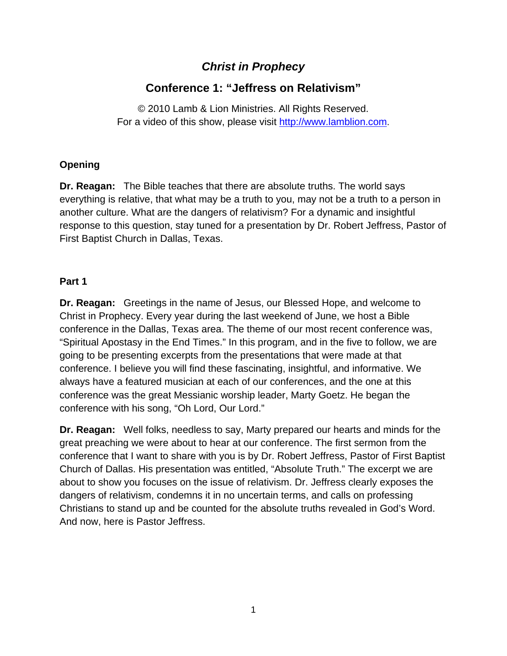## *Christ in Prophecy*

# **Conference 1: "Jeffress on Relativism"**

© 2010 Lamb & Lion Ministries. All Rights Reserved. For a video of this show, please visit [http://www.lamblion.com](http://www.lamblion.com/).

### **Opening**

**Dr. Reagan:** The Bible teaches that there are absolute truths. The world says everything is relative, that what may be a truth to you, may not be a truth to a person in another culture. What are the dangers of relativism? For a dynamic and insightful response to this question, stay tuned for a presentation by Dr. Robert Jeffress, Pastor of First Baptist Church in Dallas, Texas.

#### **Part 1**

**Dr. Reagan:** Greetings in the name of Jesus, our Blessed Hope, and welcome to Christ in Prophecy. Every year during the last weekend of June, we host a Bible conference in the Dallas, Texas area. The theme of our most recent conference was, "Spiritual Apostasy in the End Times." In this program, and in the five to follow, we are going to be presenting excerpts from the presentations that were made at that conference. I believe you will find these fascinating, insightful, and informative. We always have a featured musician at each of our conferences, and the one at this conference was the great Messianic worship leader, Marty Goetz. He began the conference with his song, "Oh Lord, Our Lord."

**Dr. Reagan:** Well folks, needless to say, Marty prepared our hearts and minds for the great preaching we were about to hear at our conference. The first sermon from the conference that I want to share with you is by Dr. Robert Jeffress, Pastor of First Baptist Church of Dallas. His presentation was entitled, "Absolute Truth." The excerpt we are about to show you focuses on the issue of relativism. Dr. Jeffress clearly exposes the dangers of relativism, condemns it in no uncertain terms, and calls on professing Christians to stand up and be counted for the absolute truths revealed in God's Word. And now, here is Pastor Jeffress.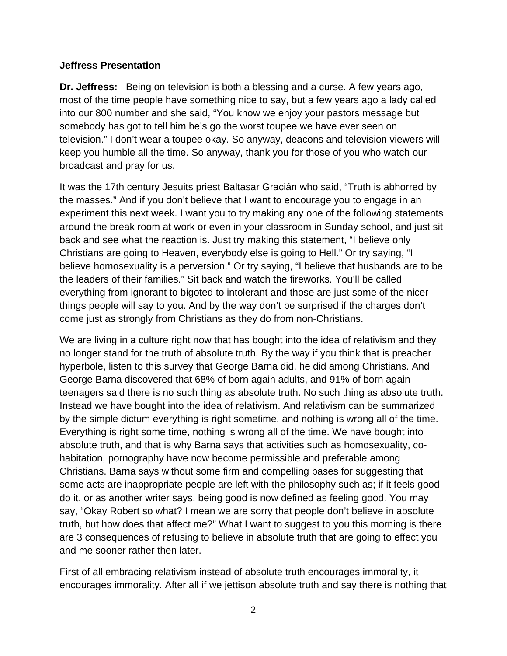#### **Jeffress Presentation**

**Dr. Jeffress:** Being on television is both a blessing and a curse. A few years ago, most of the time people have something nice to say, but a few years ago a lady called into our 800 number and she said, "You know we enjoy your pastors message but somebody has got to tell him he's go the worst toupee we have ever seen on television." I don't wear a toupee okay. So anyway, deacons and television viewers will keep you humble all the time. So anyway, thank you for those of you who watch our broadcast and pray for us.

It was the 17th century Jesuits priest Baltasar Gracián who said, "Truth is abhorred by the masses." And if you don't believe that I want to encourage you to engage in an experiment this next week. I want you to try making any one of the following statements around the break room at work or even in your classroom in Sunday school, and just sit back and see what the reaction is. Just try making this statement, "I believe only Christians are going to Heaven, everybody else is going to Hell." Or try saying, "I believe homosexuality is a perversion." Or try saying, "I believe that husbands are to be the leaders of their families." Sit back and watch the fireworks. You'll be called everything from ignorant to bigoted to intolerant and those are just some of the nicer things people will say to you. And by the way don't be surprised if the charges don't come just as strongly from Christians as they do from non-Christians.

We are living in a culture right now that has bought into the idea of relativism and they no longer stand for the truth of absolute truth. By the way if you think that is preacher hyperbole, listen to this survey that George Barna did, he did among Christians. And George Barna discovered that 68% of born again adults, and 91% of born again teenagers said there is no such thing as absolute truth. No such thing as absolute truth. Instead we have bought into the idea of relativism. And relativism can be summarized by the simple dictum everything is right sometime, and nothing is wrong all of the time. Everything is right some time, nothing is wrong all of the time. We have bought into absolute truth, and that is why Barna says that activities such as homosexuality, cohabitation, pornography have now become permissible and preferable among Christians. Barna says without some firm and compelling bases for suggesting that some acts are inappropriate people are left with the philosophy such as; if it feels good do it, or as another writer says, being good is now defined as feeling good. You may say, "Okay Robert so what? I mean we are sorry that people don't believe in absolute truth, but how does that affect me?" What I want to suggest to you this morning is there are 3 consequences of refusing to believe in absolute truth that are going to effect you and me sooner rather then later.

First of all embracing relativism instead of absolute truth encourages immorality, it encourages immorality. After all if we jettison absolute truth and say there is nothing that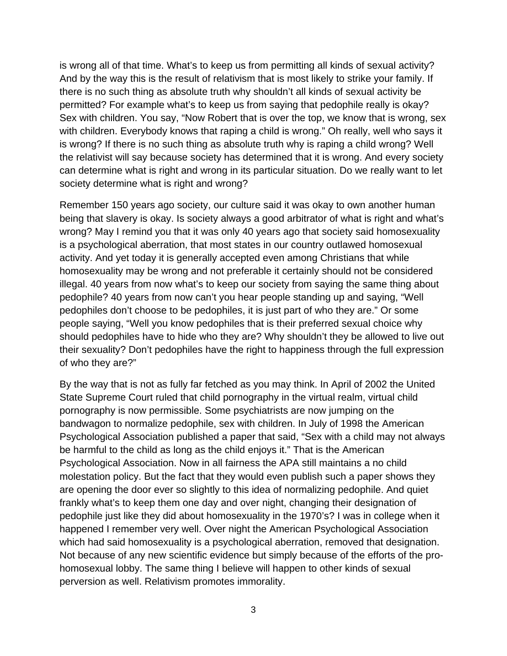is wrong all of that time. What's to keep us from permitting all kinds of sexual activity? And by the way this is the result of relativism that is most likely to strike your family. If there is no such thing as absolute truth why shouldn't all kinds of sexual activity be permitted? For example what's to keep us from saying that pedophile really is okay? Sex with children. You say, "Now Robert that is over the top, we know that is wrong, sex with children. Everybody knows that raping a child is wrong." Oh really, well who says it is wrong? If there is no such thing as absolute truth why is raping a child wrong? Well the relativist will say because society has determined that it is wrong. And every society can determine what is right and wrong in its particular situation. Do we really want to let society determine what is right and wrong?

Remember 150 years ago society, our culture said it was okay to own another human being that slavery is okay. Is society always a good arbitrator of what is right and what's wrong? May I remind you that it was only 40 years ago that society said homosexuality is a psychological aberration, that most states in our country outlawed homosexual activity. And yet today it is generally accepted even among Christians that while homosexuality may be wrong and not preferable it certainly should not be considered illegal. 40 years from now what's to keep our society from saying the same thing about pedophile? 40 years from now can't you hear people standing up and saying, "Well pedophiles don't choose to be pedophiles, it is just part of who they are." Or some people saying, "Well you know pedophiles that is their preferred sexual choice why should pedophiles have to hide who they are? Why shouldn't they be allowed to live out their sexuality? Don't pedophiles have the right to happiness through the full expression of who they are?"

By the way that is not as fully far fetched as you may think. In April of 2002 the United State Supreme Court ruled that child pornography in the virtual realm, virtual child pornography is now permissible. Some psychiatrists are now jumping on the bandwagon to normalize pedophile, sex with children. In July of 1998 the American Psychological Association published a paper that said, "Sex with a child may not always be harmful to the child as long as the child enjoys it." That is the American Psychological Association. Now in all fairness the APA still maintains a no child molestation policy. But the fact that they would even publish such a paper shows they are opening the door ever so slightly to this idea of normalizing pedophile. And quiet frankly what's to keep them one day and over night, changing their designation of pedophile just like they did about homosexuality in the 1970's? I was in college when it happened I remember very well. Over night the American Psychological Association which had said homosexuality is a psychological aberration, removed that designation. Not because of any new scientific evidence but simply because of the efforts of the prohomosexual lobby. The same thing I believe will happen to other kinds of sexual perversion as well. Relativism promotes immorality.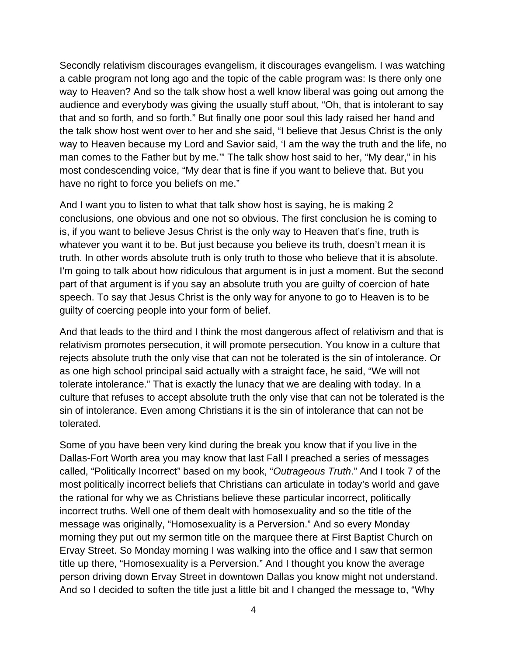Secondly relativism discourages evangelism, it discourages evangelism. I was watching a cable program not long ago and the topic of the cable program was: Is there only one way to Heaven? And so the talk show host a well know liberal was going out among the audience and everybody was giving the usually stuff about, "Oh, that is intolerant to say that and so forth, and so forth." But finally one poor soul this lady raised her hand and the talk show host went over to her and she said, "I believe that Jesus Christ is the only way to Heaven because my Lord and Savior said, 'I am the way the truth and the life, no man comes to the Father but by me.'" The talk show host said to her, "My dear," in his most condescending voice, "My dear that is fine if you want to believe that. But you have no right to force you beliefs on me."

And I want you to listen to what that talk show host is saying, he is making 2 conclusions, one obvious and one not so obvious. The first conclusion he is coming to is, if you want to believe Jesus Christ is the only way to Heaven that's fine, truth is whatever you want it to be. But just because you believe its truth, doesn't mean it is truth. In other words absolute truth is only truth to those who believe that it is absolute. I'm going to talk about how ridiculous that argument is in just a moment. But the second part of that argument is if you say an absolute truth you are guilty of coercion of hate speech. To say that Jesus Christ is the only way for anyone to go to Heaven is to be guilty of coercing people into your form of belief.

And that leads to the third and I think the most dangerous affect of relativism and that is relativism promotes persecution, it will promote persecution. You know in a culture that rejects absolute truth the only vise that can not be tolerated is the sin of intolerance. Or as one high school principal said actually with a straight face, he said, "We will not tolerate intolerance." That is exactly the lunacy that we are dealing with today. In a culture that refuses to accept absolute truth the only vise that can not be tolerated is the sin of intolerance. Even among Christians it is the sin of intolerance that can not be tolerated.

Some of you have been very kind during the break you know that if you live in the Dallas-Fort Worth area you may know that last Fall I preached a series of messages called, "Politically Incorrect" based on my book, "*Outrageous Truth*." And I took 7 of the most politically incorrect beliefs that Christians can articulate in today's world and gave the rational for why we as Christians believe these particular incorrect, politically incorrect truths. Well one of them dealt with homosexuality and so the title of the message was originally, "Homosexuality is a Perversion." And so every Monday morning they put out my sermon title on the marquee there at First Baptist Church on Ervay Street. So Monday morning I was walking into the office and I saw that sermon title up there, "Homosexuality is a Perversion." And I thought you know the average person driving down Ervay Street in downtown Dallas you know might not understand. And so I decided to soften the title just a little bit and I changed the message to, "Why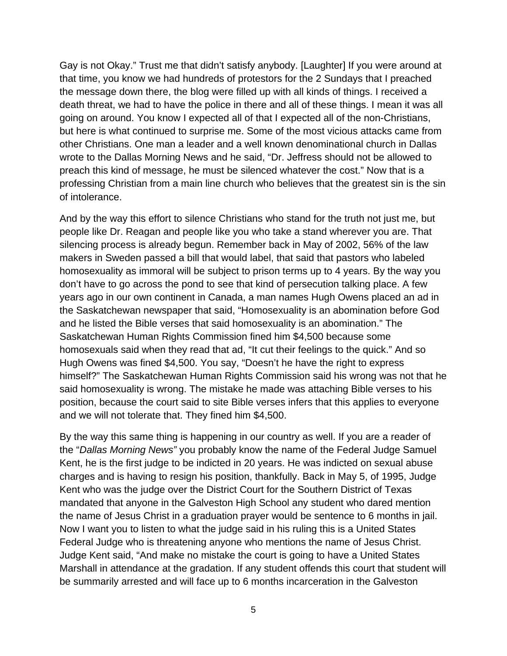Gay is not Okay." Trust me that didn't satisfy anybody. [Laughter] If you were around at that time, you know we had hundreds of protestors for the 2 Sundays that I preached the message down there, the blog were filled up with all kinds of things. I received a death threat, we had to have the police in there and all of these things. I mean it was all going on around. You know I expected all of that I expected all of the non-Christians, but here is what continued to surprise me. Some of the most vicious attacks came from other Christians. One man a leader and a well known denominational church in Dallas wrote to the Dallas Morning News and he said, "Dr. Jeffress should not be allowed to preach this kind of message, he must be silenced whatever the cost." Now that is a professing Christian from a main line church who believes that the greatest sin is the sin of intolerance.

And by the way this effort to silence Christians who stand for the truth not just me, but people like Dr. Reagan and people like you who take a stand wherever you are. That silencing process is already begun. Remember back in May of 2002, 56% of the law makers in Sweden passed a bill that would label, that said that pastors who labeled homosexuality as immoral will be subject to prison terms up to 4 years. By the way you don't have to go across the pond to see that kind of persecution talking place. A few years ago in our own continent in Canada, a man names Hugh Owens placed an ad in the Saskatchewan newspaper that said, "Homosexuality is an abomination before God and he listed the Bible verses that said homosexuality is an abomination." The Saskatchewan Human Rights Commission fined him \$4,500 because some homosexuals said when they read that ad, "It cut their feelings to the quick." And so Hugh Owens was fined \$4,500. You say, "Doesn't he have the right to express himself?" The Saskatchewan Human Rights Commission said his wrong was not that he said homosexuality is wrong. The mistake he made was attaching Bible verses to his position, because the court said to site Bible verses infers that this applies to everyone and we will not tolerate that. They fined him \$4,500.

By the way this same thing is happening in our country as well. If you are a reader of the "*Dallas Morning News"* you probably know the name of the Federal Judge Samuel Kent, he is the first judge to be indicted in 20 years. He was indicted on sexual abuse charges and is having to resign his position, thankfully. Back in May 5, of 1995, Judge Kent who was the judge over the District Court for the Southern District of Texas mandated that anyone in the Galveston High School any student who dared mention the name of Jesus Christ in a graduation prayer would be sentence to 6 months in jail. Now I want you to listen to what the judge said in his ruling this is a United States Federal Judge who is threatening anyone who mentions the name of Jesus Christ. Judge Kent said, "And make no mistake the court is going to have a United States Marshall in attendance at the gradation. If any student offends this court that student will be summarily arrested and will face up to 6 months incarceration in the Galveston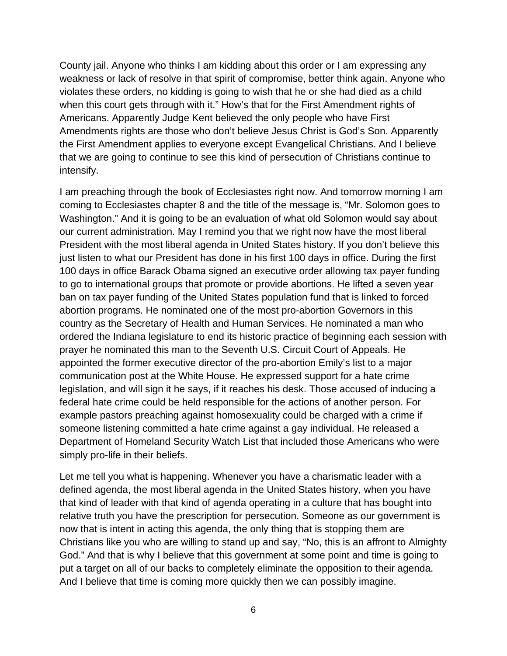County jail. Anyone who thinks I am kidding about this order or I am expressing any weakness or lack of resolve in that spirit of compromise, better think again. Anyone who violates these orders, no kidding is going to wish that he or she had died as a child when this court gets through with it." How's that for the First Amendment rights of Americans. Apparently Judge Kent believed the only people who have First Amendments rights are those who don't believe Jesus Christ is God's Son. Apparently the First Amendment applies to everyone except Evangelical Christians. And I believe that we are going to continue to see this kind of persecution of Christians continue to intensify.

I am preaching through the book of Ecclesiastes right now. And tomorrow morning I am coming to Ecclesiastes chapter 8 and the title of the message is, "Mr. Solomon goes to Washington." And it is going to be an evaluation of what old Solomon would say about our current administration. May I remind you that we right now have the most liberal President with the most liberal agenda in United States history. If you don't believe this just listen to what our President has done in his first 100 days in office. During the first 100 days in office Barack Obama signed an executive order allowing tax payer funding to go to international groups that promote or provide abortions. He lifted a seven year ban on tax payer funding of the United States population fund that is linked to forced abortion programs. He nominated one of the most pro-abortion Governors in this country as the Secretary of Health and Human Services. He nominated a man who ordered the Indiana legislature to end its historic practice of beginning each session with prayer he nominated this man to the Seventh U.S. Circuit Court of Appeals. He appointed the former executive director of the pro-abortion Emily's list to a major communication post at the White House. He expressed support for a hate crime legislation, and will sign it he says, if it reaches his desk. Those accused of inducing a federal hate crime could be held responsible for the actions of another person. For example pastors preaching against homosexuality could be charged with a crime if someone listening committed a hate crime against a gay individual. He released a Department of Homeland Security Watch List that included those Americans who were simply pro-life in their beliefs.

Let me tell you what is happening. Whenever you have a charismatic leader with a defined agenda, the most liberal agenda in the United States history, when you have that kind of leader with that kind of agenda operating in a culture that has bought into relative truth you have the prescription for persecution. Someone as our government is now that is intent in acting this agenda, the only thing that is stopping them are Christians like you who are willing to stand up and say, "No, this is an affront to Almighty God." And that is why I believe that this government at some point and time is going to put a target on all of our backs to completely eliminate the opposition to their agenda. And I believe that time is coming more quickly then we can possibly imagine.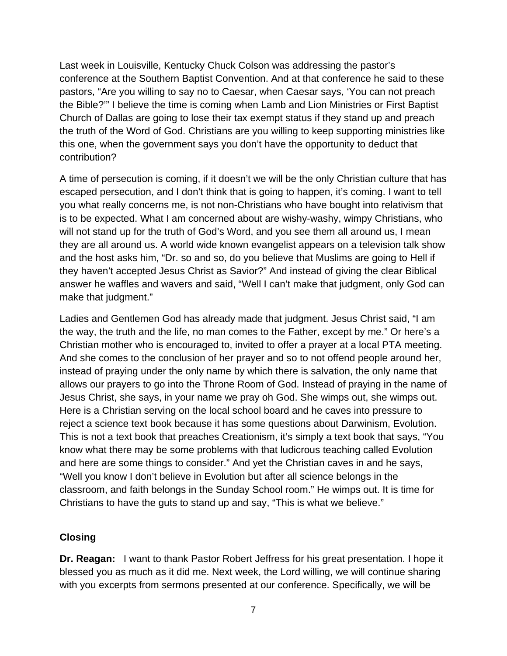Last week in Louisville, Kentucky Chuck Colson was addressing the pastor's conference at the Southern Baptist Convention. And at that conference he said to these pastors, "Are you willing to say no to Caesar, when Caesar says, 'You can not preach the Bible?'" I believe the time is coming when Lamb and Lion Ministries or First Baptist Church of Dallas are going to lose their tax exempt status if they stand up and preach the truth of the Word of God. Christians are you willing to keep supporting ministries like this one, when the government says you don't have the opportunity to deduct that contribution?

A time of persecution is coming, if it doesn't we will be the only Christian culture that has escaped persecution, and I don't think that is going to happen, it's coming. I want to tell you what really concerns me, is not non-Christians who have bought into relativism that is to be expected. What I am concerned about are wishy-washy, wimpy Christians, who will not stand up for the truth of God's Word, and you see them all around us, I mean they are all around us. A world wide known evangelist appears on a television talk show and the host asks him, "Dr. so and so, do you believe that Muslims are going to Hell if they haven't accepted Jesus Christ as Savior?" And instead of giving the clear Biblical answer he waffles and wavers and said, "Well I can't make that judgment, only God can make that judgment."

Ladies and Gentlemen God has already made that judgment. Jesus Christ said, "I am the way, the truth and the life, no man comes to the Father, except by me." Or here's a Christian mother who is encouraged to, invited to offer a prayer at a local PTA meeting. And she comes to the conclusion of her prayer and so to not offend people around her, instead of praying under the only name by which there is salvation, the only name that allows our prayers to go into the Throne Room of God. Instead of praying in the name of Jesus Christ, she says, in your name we pray oh God. She wimps out, she wimps out. Here is a Christian serving on the local school board and he caves into pressure to reject a science text book because it has some questions about Darwinism, Evolution. This is not a text book that preaches Creationism, it's simply a text book that says, "You know what there may be some problems with that ludicrous teaching called Evolution and here are some things to consider." And yet the Christian caves in and he says, "Well you know I don't believe in Evolution but after all science belongs in the classroom, and faith belongs in the Sunday School room." He wimps out. It is time for Christians to have the guts to stand up and say, "This is what we believe."

#### **Closing**

**Dr. Reagan:** I want to thank Pastor Robert Jeffress for his great presentation. I hope it blessed you as much as it did me. Next week, the Lord willing, we will continue sharing with you excerpts from sermons presented at our conference. Specifically, we will be